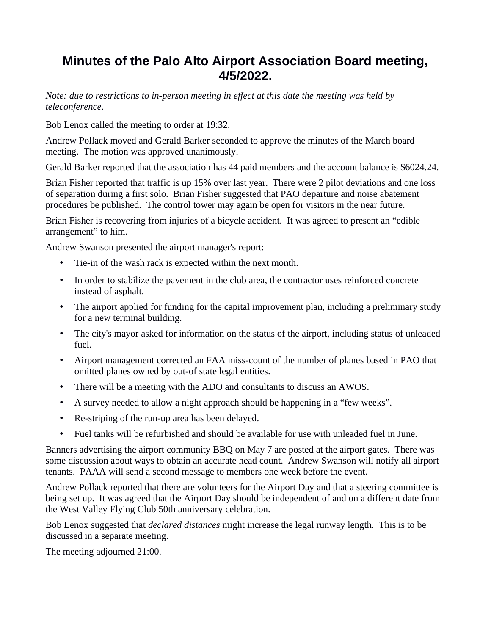## **Minutes of the Palo Alto Airport Association Board meeting, 4/5/2022.**

*Note: due to restrictions to in-person meeting in effect at this date the meeting was held by teleconference.*

Bob Lenox called the meeting to order at 19:32.

Andrew Pollack moved and Gerald Barker seconded to approve the minutes of the March board meeting. The motion was approved unanimously.

Gerald Barker reported that the association has 44 paid members and the account balance is \$6024.24.

Brian Fisher reported that traffic is up 15% over last year. There were 2 pilot deviations and one loss of separation during a first solo. Brian Fisher suggested that PAO departure and noise abatement procedures be published. The control tower may again be open for visitors in the near future.

Brian Fisher is recovering from injuries of a bicycle accident. It was agreed to present an "edible arrangement" to him.

Andrew Swanson presented the airport manager's report:

- Tie-in of the wash rack is expected within the next month.
- In order to stabilize the pavement in the club area, the contractor uses reinforced concrete instead of asphalt.
- The airport applied for funding for the capital improvement plan, including a preliminary study for a new terminal building.
- The city's mayor asked for information on the status of the airport, including status of unleaded fuel.
- Airport management corrected an FAA miss-count of the number of planes based in PAO that omitted planes owned by out-of state legal entities.
- There will be a meeting with the ADO and consultants to discuss an AWOS.
- A survey needed to allow a night approach should be happening in a "few weeks".
- Re-striping of the run-up area has been delayed.
- Fuel tanks will be refurbished and should be available for use with unleaded fuel in June.

Banners advertising the airport community BBQ on May 7 are posted at the airport gates. There was some discussion about ways to obtain an accurate head count. Andrew Swanson will notify all airport tenants. PAAA will send a second message to members one week before the event.

Andrew Pollack reported that there are volunteers for the Airport Day and that a steering committee is being set up. It was agreed that the Airport Day should be independent of and on a different date from the West Valley Flying Club 50th anniversary celebration.

Bob Lenox suggested that *declared distances* might increase the legal runway length. This is to be discussed in a separate meeting.

The meeting adjourned 21:00.